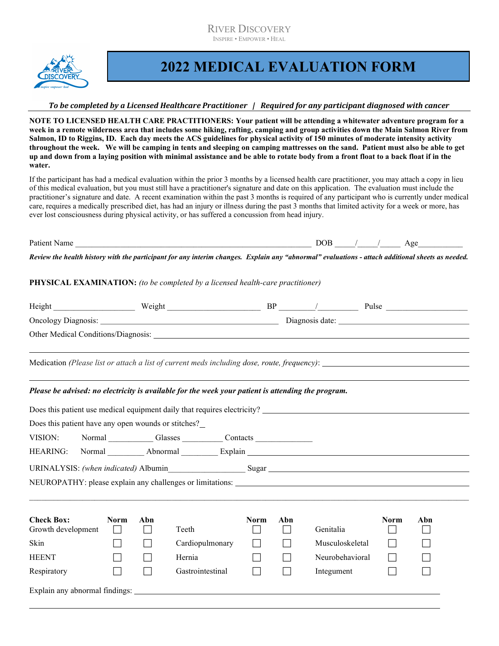RIVER DISCOVERY INSPIRE • EMPOWER • HEAL



 $\ddot{\phantom{a}}$ 

## 2022 MEDICAL EVALUATION FORM

## To be completed by a Licensed Healthcare Practitioner | Required for any participant diagnosed with cancer

NOTE TO LICENSED HEALTH CARE PRACTITIONERS: Your patient will be attending a whitewater adventure program for a week in a remote wilderness area that includes some hiking, rafting, camping and group activities down the Main Salmon River from Salmon, ID to Riggins, ID. Each day meets the ACS guidelines for physical activity of 150 minutes of moderate intensity activity throughout the week. We will be camping in tents and sleeping on camping mattresses on the sand. Patient must also be able to get up and down from a laying position with minimal assistance and be able to rotate body from a front float to a back float if in the water.

If the participant has had a medical evaluation within the prior 3 months by a licensed health care practitioner, you may attach a copy in lieu of this medical evaluation, but you must still have a practitioner's signature and date on this application. The evaluation must include the practitioner's signature and date. A recent examination within the past 3 months is required of any participant who is currently under medical care, requires a medically prescribed diet, has had an injury or illness during the past 3 months that limited activity for a week or more, has ever lost consciousness during physical activity, or has suffered a concussion from head injury.

| Patic.<br>. .<br>סוווג | . .<br>-- |  |  |  | . . |  |
|------------------------|-----------|--|--|--|-----|--|
|------------------------|-----------|--|--|--|-----|--|

Review the health history with the participant for any interim changes. Explain any "abnormal" evaluations - attach additional sheets as needed.

## PHYSICAL EXAMINATION: (to be completed by a licensed health-care practitioner)

| Weight                                                                                             |  | Pulse |  |
|----------------------------------------------------------------------------------------------------|--|-------|--|
|                                                                                                    |  |       |  |
|                                                                                                    |  |       |  |
|                                                                                                    |  |       |  |
| Medication (Please list or attach a list of current meds including dose, route, frequency):        |  |       |  |
|                                                                                                    |  |       |  |
| Please be advised: no electricity is available for the week your patient is attending the program. |  |       |  |
| Does this patient use medical equipment daily that requires electricity?                           |  |       |  |
| Does this patient have any open wounds or stitches?                                                |  |       |  |

| VISION:                                 | Normal                               | Glasses  |       | Contacts    |     |                                                                                   |             |     |  |
|-----------------------------------------|--------------------------------------|----------|-------|-------------|-----|-----------------------------------------------------------------------------------|-------------|-----|--|
| <b>HEARING:</b>                         | Normal                               | Abnormal |       | Explain     |     |                                                                                   |             |     |  |
|                                         | URINALYSIS: (when indicated) Albumin |          |       | Sugar       |     |                                                                                   |             |     |  |
|                                         |                                      |          |       |             |     | NEUROPATHY: please explain any challenges or limitations: _______________________ |             |     |  |
|                                         |                                      |          |       |             |     |                                                                                   |             |     |  |
| <b>Check Box:</b><br>Growth development | <b>Norm</b>                          | Abn      | Teeth | <b>Norm</b> | Abn | Genitalia                                                                         | <b>Norm</b> | Abn |  |

| Growth development             |  | Teeth            |  | Genitalia       |  |  |
|--------------------------------|--|------------------|--|-----------------|--|--|
| Skin                           |  | Cardiopulmonary  |  | Musculoskeletal |  |  |
| <b>HEENT</b>                   |  | Hernia           |  | Neurobehavioral |  |  |
| Respiratory                    |  | Gastrointestinal |  | Integument      |  |  |
| Explain any abnormal findings: |  |                  |  |                 |  |  |